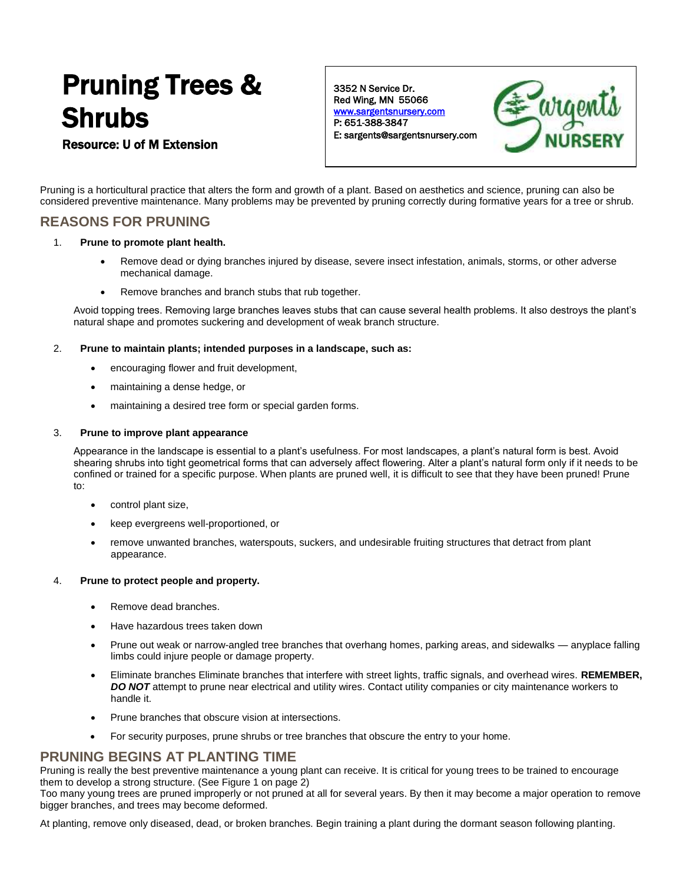# Pruning Trees & **Shrubs**

## Resource: U of M Extension

3352 N Service Dr. Red Wing, MN 55066 [www.sargentsnursery.com](http://www.sargentsnursery.com/)  P: 651-388-3847 E: sargents@sargentsnursery.com



Pruning is a horticultural practice that alters the form and growth of a plant. Based on aesthetics and science, pruning can also be considered preventive maintenance. Many problems may be prevented by pruning correctly during formative years for a tree or shrub.

# **REASONS FOR PRUNING**

#### 1. **Prune to promote plant health.**

- Remove dead or dying branches injured by disease, severe insect infestation, animals, storms, or other adverse mechanical damage.
- Remove branches and branch stubs that rub together.

Avoid topping trees. Removing large branches leaves stubs that can cause several health problems. It also destroys the plant's natural shape and promotes suckering and development of weak branch structure.

### 2. **Prune to maintain plants; intended purposes in a landscape, such as:**

- encouraging flower and fruit development,
- maintaining a dense hedge, or
- maintaining a desired tree form or special garden forms.

### 3. **Prune to improve plant appearance**

Appearance in the landscape is essential to a plant's usefulness. For most landscapes, a plant's natural form is best. Avoid shearing shrubs into tight geometrical forms that can adversely affect flowering. Alter a plant's natural form only if it needs to be confined or trained for a specific purpose. When plants are pruned well, it is difficult to see that they have been pruned! Prune to:

- control plant size,
- keep evergreens well-proportioned, or
- remove unwanted branches, waterspouts, suckers, and undesirable fruiting structures that detract from plant appearance.

### 4. **Prune to protect people and property.**

- Remove dead branches.
- Have hazardous trees taken down
- Prune out weak or narrow-angled tree branches that overhang homes, parking areas, and sidewalks anyplace falling limbs could injure people or damage property.
- Eliminate branches Eliminate branches that interfere with street lights, traffic signals, and overhead wires. **REMEMBER,**  *DO NOT* attempt to prune near electrical and utility wires. Contact utility companies or city maintenance workers to handle it.
- Prune branches that obscure vision at intersections.
- For security purposes, prune shrubs or tree branches that obscure the entry to your home.

# **PRUNING BEGINS AT PLANTING TIME**

Pruning is really the best preventive maintenance a young plant can receive. It is critical for young trees to be trained to encourage them to develop a strong structure. (See Figure 1 on page 2)

Too many young trees are pruned improperly or not pruned at all for several years. By then it may become a major operation to remove bigger branches, and trees may become deformed.

At planting, remove only diseased, dead, or broken branches. Begin training a plant during the dormant season following planting.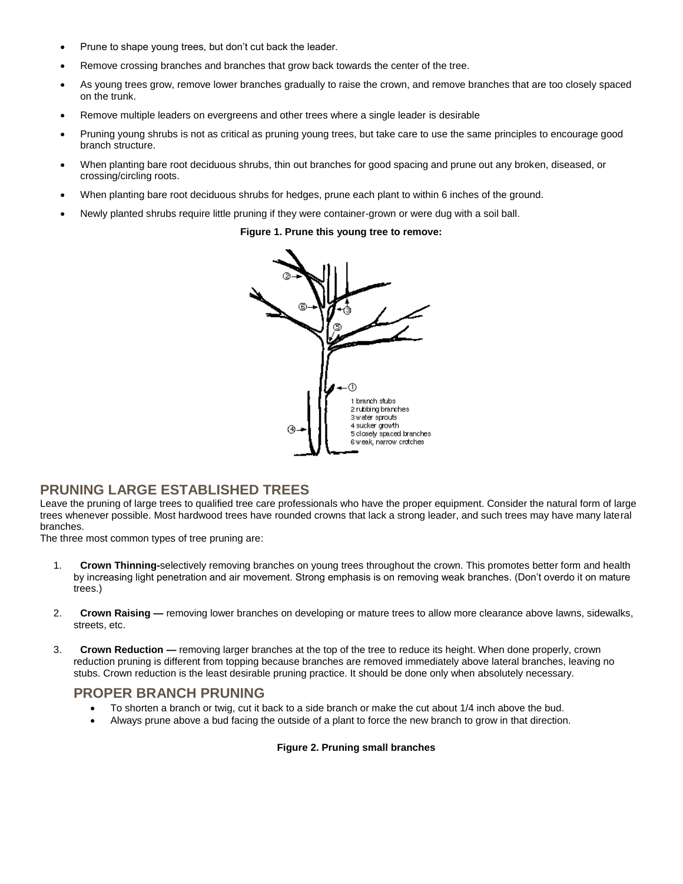- Prune to shape young trees, but don't cut back the leader.
- Remove crossing branches and branches that grow back towards the center of the tree.
- As young trees grow, remove lower branches gradually to raise the crown, and remove branches that are too closely spaced on the trunk.
- Remove multiple leaders on evergreens and other trees where a single leader is desirable
- Pruning young shrubs is not as critical as pruning young trees, but take care to use the same principles to encourage good branch structure.
- When planting bare root deciduous shrubs, thin out branches for good spacing and prune out any broken, diseased, or crossing/circling roots.
- When planting bare root deciduous shrubs for hedges, prune each plant to within 6 inches of the ground.
- Newly planted shrubs require little pruning if they were container-grown or were dug with a soil ball.

#### **Figure 1. Prune this young tree to remove:**



## **PRUNING LARGE ESTABLISHED TREES**

Leave the pruning of large trees to qualified tree care professionals who have the proper equipment. Consider the natural form of large trees whenever possible. Most hardwood trees have rounded crowns that lack a strong leader, and such trees may have many lateral branches.

The three most common types of tree pruning are:

- 1. **Crown Thinning-**selectively removing branches on young trees throughout the crown. This promotes better form and health by increasing light penetration and air movement. Strong emphasis is on removing weak branches. (Don't overdo it on mature trees.)
- 2. **Crown Raising —** removing lower branches on developing or mature trees to allow more clearance above lawns, sidewalks, streets, etc.
- 3. **Crown Reduction —** removing larger branches at the top of the tree to reduce its height. When done properly, crown reduction pruning is different from topping because branches are removed immediately above lateral branches, leaving no stubs. Crown reduction is the least desirable pruning practice. It should be done only when absolutely necessary.

## **PROPER BRANCH PRUNING**

- To shorten a branch or twig, cut it back to a side branch or make the cut about 1/4 inch above the bud.
- Always prune above a bud facing the outside of a plant to force the new branch to grow in that direction.

#### **Figure 2. Pruning small branches**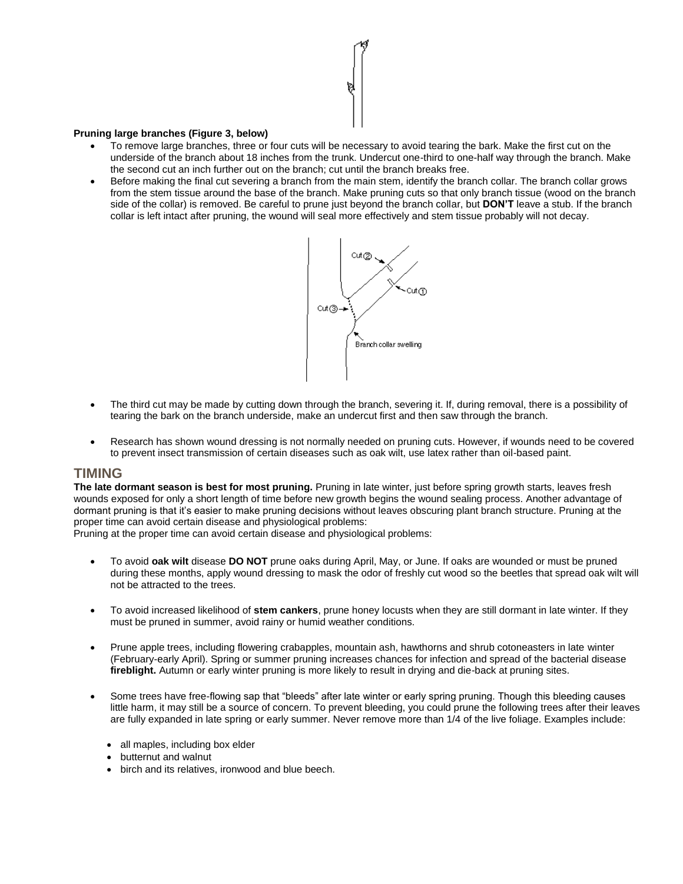#### **Pruning large branches (Figure 3, below)**

- To remove large branches, three or four cuts will be necessary to avoid tearing the bark. Make the first cut on the underside of the branch about 18 inches from the trunk. Undercut one-third to one-half way through the branch. Make the second cut an inch further out on the branch; cut until the branch breaks free.
- Before making the final cut severing a branch from the main stem, identify the branch collar. The branch collar grows from the stem tissue around the base of the branch. Make pruning cuts so that only branch tissue (wood on the branch side of the collar) is removed. Be careful to prune just beyond the branch collar, but **DON'T** leave a stub. If the branch collar is left intact after pruning, the wound will seal more effectively and stem tissue probably will not decay.



- The third cut may be made by cutting down through the branch, severing it. If, during removal, there is a possibility of tearing the bark on the branch underside, make an undercut first and then saw through the branch.
- Research has shown wound dressing is not normally needed on pruning cuts. However, if wounds need to be covered to prevent insect transmission of certain diseases such as oak wilt, use latex rather than oil-based paint.

### **TIMING**

**The late dormant season is best for most pruning.** Pruning in late winter, just before spring growth starts, leaves fresh wounds exposed for only a short length of time before new growth begins the wound sealing process. Another advantage of dormant pruning is that it's easier to make pruning decisions without leaves obscuring plant branch structure. Pruning at the proper time can avoid certain disease and physiological problems:

Pruning at the proper time can avoid certain disease and physiological problems:

- To avoid **oak wilt** disease **DO NOT** prune oaks during April, May, or June. If oaks are wounded or must be pruned during these months, apply wound dressing to mask the odor of freshly cut wood so the beetles that spread oak wilt will not be attracted to the trees.
- To avoid increased likelihood of **stem cankers**, prune honey locusts when they are still dormant in late winter. If they must be pruned in summer, avoid rainy or humid weather conditions.
- Prune apple trees, including flowering crabapples, mountain ash, hawthorns and shrub cotoneasters in late winter (February-early April). Spring or summer pruning increases chances for infection and spread of the bacterial disease **fireblight.** Autumn or early winter pruning is more likely to result in drying and die-back at pruning sites.
- Some trees have free-flowing sap that "bleeds" after late winter or early spring pruning. Though this bleeding causes little harm, it may still be a source of concern. To prevent bleeding, you could prune the following trees after their leaves are fully expanded in late spring or early summer. Never remove more than 1/4 of the live foliage. Examples include:
	- all maples, including box elder
	- butternut and walnut
	- birch and its relatives, ironwood and blue beech.